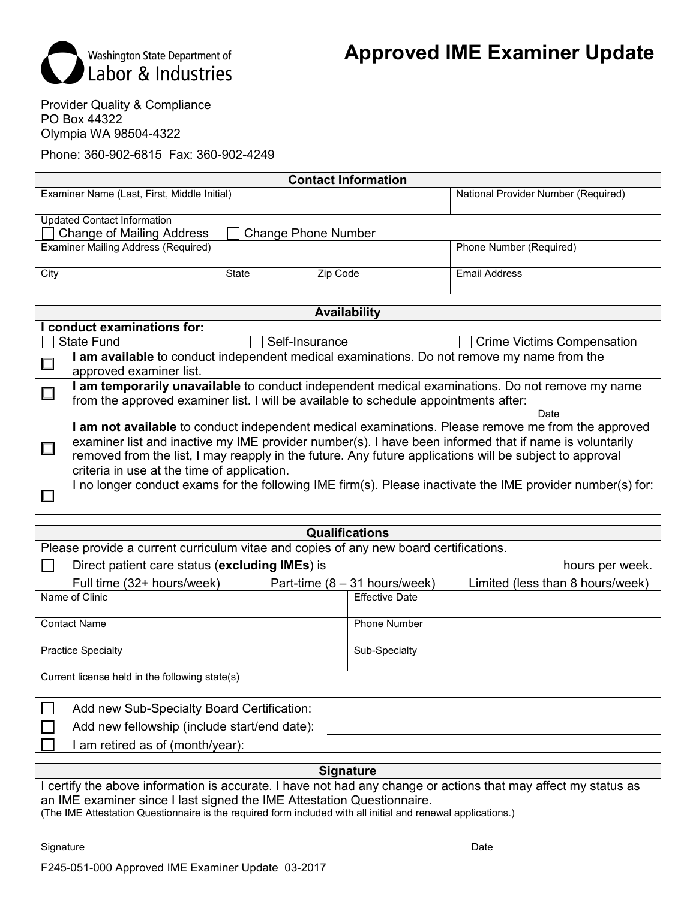

Provider Quality & Compliance PO Box 44322 Olympia WA 98504-4322

Phone: 360-902-6815 Fax: 360-902-4249

| <b>Contact Information</b>                                |              |          |                                     |  |  |
|-----------------------------------------------------------|--------------|----------|-------------------------------------|--|--|
| Examiner Name (Last, First, Middle Initial)               |              |          | National Provider Number (Required) |  |  |
|                                                           |              |          |                                     |  |  |
| <b>Updated Contact Information</b>                        |              |          |                                     |  |  |
| □ Change of Mailing Address<br><b>Change Phone Number</b> |              |          |                                     |  |  |
| Examiner Mailing Address (Required)                       |              |          | Phone Number (Required)             |  |  |
|                                                           |              |          |                                     |  |  |
| City                                                      | <b>State</b> | Zip Code | <b>Email Address</b>                |  |  |
|                                                           |              |          |                                     |  |  |

| <b>Availability</b> |                                                                                                            |                                   |  |  |  |  |
|---------------------|------------------------------------------------------------------------------------------------------------|-----------------------------------|--|--|--|--|
|                     | conduct examinations for:                                                                                  |                                   |  |  |  |  |
|                     | Self-Insurance<br>State Fund                                                                               | <b>Crime Victims Compensation</b> |  |  |  |  |
|                     | I am available to conduct independent medical examinations. Do not remove my name from the                 |                                   |  |  |  |  |
|                     | approved examiner list.                                                                                    |                                   |  |  |  |  |
|                     | I am temporarily unavailable to conduct independent medical examinations. Do not remove my name            |                                   |  |  |  |  |
|                     | from the approved examiner list. I will be available to schedule appointments after:                       |                                   |  |  |  |  |
|                     |                                                                                                            | Date                              |  |  |  |  |
|                     | am not available to conduct independent medical examinations. Please remove me from the approved           |                                   |  |  |  |  |
|                     | examiner list and inactive my IME provider number(s). I have been informed that if name is voluntarily     |                                   |  |  |  |  |
|                     | removed from the list, I may reapply in the future. Any future applications will be subject to approval    |                                   |  |  |  |  |
|                     | criteria in use at the time of application.                                                                |                                   |  |  |  |  |
|                     | I no longer conduct exams for the following IME firm(s). Please inactivate the IME provider number(s) for: |                                   |  |  |  |  |
|                     |                                                                                                            |                                   |  |  |  |  |

| <b>Qualifications</b>                                                                 |                                 |                                  |  |  |  |
|---------------------------------------------------------------------------------------|---------------------------------|----------------------------------|--|--|--|
| Please provide a current curriculum vitae and copies of any new board certifications. |                                 |                                  |  |  |  |
| Direct patient care status (excluding IMEs) is                                        | hours per week.                 |                                  |  |  |  |
| Full time (32+ hours/week)                                                            | Part-time $(8 - 31$ hours/week) | Limited (less than 8 hours/week) |  |  |  |
| Name of Clinic                                                                        | <b>Effective Date</b>           |                                  |  |  |  |
| <b>Contact Name</b>                                                                   | <b>Phone Number</b>             |                                  |  |  |  |
| <b>Practice Specialty</b>                                                             | Sub-Specialty                   |                                  |  |  |  |
| Current license held in the following state(s)                                        |                                 |                                  |  |  |  |
| Add new Sub-Specialty Board Certification:                                            |                                 |                                  |  |  |  |
| Add new fellowship (include start/end date):                                          |                                 |                                  |  |  |  |
| I am retired as of (month/year):                                                      |                                 |                                  |  |  |  |

# **Signature**

I certify the above information is accurate. I have not had any change or actions that may affect my status as an IME examiner since I last signed the IME Attestation Questionnaire.

(The IME Attestation Questionnaire is the required form included with all initial and renewal applications.)

Signature Date of the Date of the Signature Date of the Date of the Date of the Date of the Date of the Date o